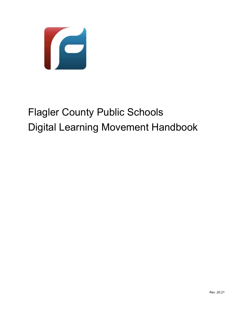

# Flagler County Public Schools Digital Learning Movement Handbook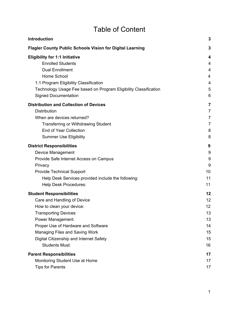# Table of Content

| <b>Introduction</b>                                              | 3              |
|------------------------------------------------------------------|----------------|
| <b>Flagler County Public Schools Vision for Digital Learning</b> | 3              |
| <b>Eligibility for 1:1 Initiative</b>                            | 4              |
| <b>Enrolled Students</b>                                         | 4              |
| <b>Dual Enrollment</b>                                           | 4              |
| Home School                                                      | 4              |
| 1:1 Program Eligibility Classification                           | 4              |
| Technology Usage Fee based on Program Eligibility Classification | 5              |
| <b>Signed Documentation</b>                                      | 6              |
| <b>Distribution and Collection of Devices</b>                    | 7              |
| <b>Distribution</b>                                              | $\overline{7}$ |
| When are devices returned?                                       | 7              |
| <b>Transferring or Withdrawing Student</b>                       | $\overline{7}$ |
| <b>End of Year Collection</b>                                    | 8              |
| <b>Summer Use Eligibility</b>                                    | 8              |
| <b>District Responsibilities</b>                                 | 9              |
| Device Management                                                | 9              |
| Provide Safe Internet Access on Campus                           | 9              |
| Privacy                                                          | 9              |
| <b>Provide Technical Support</b>                                 | 10             |
| Help Desk Services provided include the following:               | 11             |
| <b>Help Desk Procedures:</b>                                     | 11             |
| <b>Student Responsibilities</b>                                  | 12             |
| Care and Handling of Device                                      | 12             |
| How to clean your device:                                        | 12             |
| <b>Transporting Devices</b>                                      | 13             |
| Power Management                                                 | 13             |
| Proper Use of Hardware and Software                              | 14             |
| Managing Files and Saving Work                                   | 15             |
| Digital Citizenship and Internet Safety                          | 15             |
| <b>Students Must:</b>                                            | 16             |
| <b>Parent Responsibilities</b>                                   | 17             |
| Monitoring Student Use at Home                                   | 17             |
| <b>Tips for Parents</b>                                          | 17             |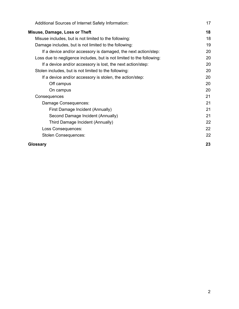| Additional Sources of Internet Safety Information:                    | 17 |
|-----------------------------------------------------------------------|----|
| Misuse, Damage, Loss or Theft                                         | 18 |
| Misuse includes, but is not limited to the following:                 | 18 |
| Damage includes, but is not limited to the following:                 | 19 |
| If a device and/or accessory is damaged, the next action/step:        | 20 |
| Loss due to negligence includes, but is not limited to the following: | 20 |
| If a device and/or accessory is lost, the next action/step:           | 20 |
| Stolen includes, but is not limited to the following:                 | 20 |
| If a device and/or accessory is stolen, the action/step:              | 20 |
| Off campus                                                            | 20 |
| On campus                                                             | 20 |
| Consequences                                                          | 21 |
| Damage Consequences:                                                  | 21 |
| First Damage Incident (Annually)                                      | 21 |
| Second Damage Incident (Annually)                                     | 21 |
| Third Damage Incident (Annually)                                      | 22 |
| Loss Consequences:                                                    | 22 |
| <b>Stolen Consequences:</b>                                           | 22 |
| Glossary                                                              | 23 |

2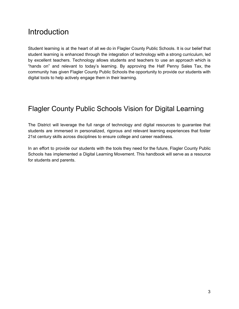# <span id="page-3-0"></span>Introduction

Student learning is at the heart of all we do in Flagler County Public Schools. It is our belief that student learning is enhanced through the integration of technology with a strong curriculum, led by excellent teachers. Technology allows students and teachers to use an approach which is "hands on" and relevant to today's learning. By approving the Half Penny Sales Tax, the community has given Flagler County Public Schools the opportunity to provide our students with digital tools to help actively engage them in their learning.

# <span id="page-3-1"></span>Flagler County Public Schools Vision for Digital Learning

The District will leverage the full range of technology and digital resources to guarantee that students are immersed in personalized, rigorous and relevant learning experiences that foster 21st century skills across disciplines to ensure college and career readiness.

In an effort to provide our students with the tools they need for the future, Flagler County Public Schools has implemented a Digital Learning Movement. This handbook will serve as a resource for students and parents.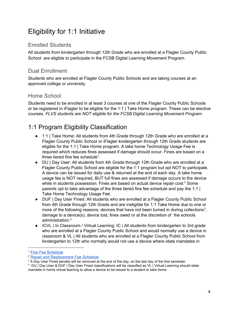# <span id="page-4-0"></span>Eligibility for 1:1 Initiative

#### <span id="page-4-1"></span>Enrolled Students

All students from kindergarten through 12th Grade who are enrolled at a Flagler County Public School are eligible to participate in the FCSB Digital Learning Movement Program.

#### <span id="page-4-2"></span>Dual Enrollment

Students who are enrolled at Flagler County Public Schools and are taking courses at an approved college or university.

#### <span id="page-4-3"></span>Home School

Students need to be enrolled in at least 3 courses at one of the Flagler County Public Schools or be registered in iFlagler to be eligible for the 1:1 | Take Home program. These can be elective courses. *FLVS students are NOT eligible for the FCSB Digital Learning Movement Program.*

# <span id="page-4-4"></span>1:1 Program Eligibility Classification

- 1:1 | Take Home: All students from 4th Grade through 12th Grade who are enrolled at a Flagler County Public School or iFlagler kindergarten through 12th Grade students are eligible for the 1:1 | Take Home program. A take home Technology Usage Fee is required which reduces fines assessed if damage should occur. Fines are based on a three tiered fine fee schedule<sup>1</sup>.
- DU | Day User: All students from 4th Grade through 12th Grade who are enrolled at a Flagler County Public School are eligible for the 1:1 program but opt NOT to participate. A device can be issued for daily use & returned at the end of each day. A take home usage fee is NOT required, BUT full fines are assessed if damage occurs to the device while in students possession. Fines are based on actual device repair cost.<sup>2</sup> Some parents opt to take advantage of the three tiered fine fee schedule and pay the 1:1 | Take Home Technology Usage Fee.
- DUF | Day User Fined: All students who are enrolled at a Flagler County Public School from 4th Grade through 12th Grade and are ineligible for 1:1 Take Home due to one or more of the following reasons: devices that have not been turned in during collections<sup>3</sup>, damage to a device(s), device lost, fines owed or at the discretion of the schools administration.\*
- ICVL | In Classroom / Virtual Learning: IC | All students from kindergarten to 3rd grade who are enrolled at a Flagler County Public School and would normally use a device in classroom & VL | All students who are enrolled at a Flagler County Public School from kindergarten to 12th who normally would not use a device where state mandates in

<sup>1</sup> Fine Fee [Schedule](https://docs.google.com/document/d/17OwE4mIE8OOUzNIEjn54RU-kocUaKs00a3P_Jop-Ji4/edit#bookmark=id.ng4nc2d6eti7)

<sup>2</sup> Repair and [Replacement](https://docs.google.com/document/d/17OwE4mIE8OOUzNIEjn54RU-kocUaKs00a3P_Jop-Ji4/edit#bookmark=id.mxbyhmcj9boy) Fee Schedule

 $3$  A Day User Fined penalty will be removed at the end of the day, on the last day of the first semester.

<sup>\*</sup> DU | Day User & DUF | Day User Fined classifications will be classified as VL | Virtual Learning should state mandate in home virtual learning to allow a device to be issued to a student to take home.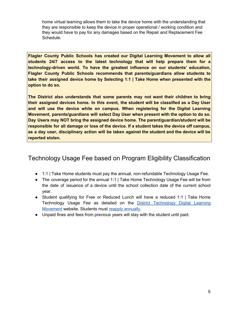home virtual learning allows them to take the device home with the understanding that they are responsible to keep the device in proper operational / working condition and they would have to pay for any damages based on the Repair and Replacement Fee Schedule.

**Flagler County Public Schools has created our Digital Learning Movement to allow all students 24/7 access to the latest technology that will help prepare them for a technology-driven world. To have the greatest influence on our students' education, Flagler County Public Schools recommends that parents/guardians allow students to take their assigned device home by Selecting 1:1 | Take Home when presented with the option to do so.**

**The District also understands that some parents may not want their children to bring their assigned devices home. In this event, the student will be classified as a Day User and will use the device while on campus. When registering for the Digital Learning Movement, parents/guardians will select Day User when present with the option to do so. Day Users may NOT bring the assigned device home. The parent/guardian/student will be responsible for all damage or loss of the device. If a student takes the device off campus, as a day user, disciplinary action will be taken against the student and the device will be reported stolen.**

## <span id="page-5-0"></span>Technology Usage Fee based on Program Eligibility Classification

- 1:1 | Take Home students must pay the annual, non-refundable Technology Usage Fee.
- The coverage period for the annual 1:1 | Take Home Technology Usage Fee will be from the date of issuance of a device until the school collection date of the current school year.
- Student qualifying for Free or Reduced Lunch will have a reduced 1:1 | Take Home Technology Usage Fee as detailed on the District [Technology](https://fcsb.link/dlm) Digital Learning [Movement](https://fcsb.link/dlm) website. Students must reapply [annually](http://fcsb.link/fra).
- Unpaid fines and fees from previous years will stay with the student until paid.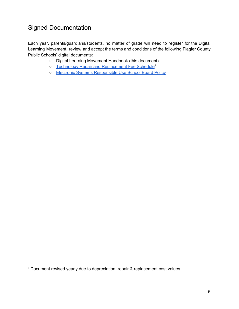# <span id="page-6-0"></span>Signed Documentation

Each year, parents/guardians/students, no matter of grade will need to register for the Digital Learning Movement, review and accept the terms and conditions of the following Flagler County Public Schools' digital documents:

- Digital Learning Movement Handbook (this document)
- o Technology Repair and [Replacement](https://docs.google.com/document/d/17OwE4mIE8OOUzNIEjn54RU-kocUaKs00a3P_Jop-Ji4/edit?usp=sharing) Fee Schedule<sup>4</sup>
- Electronic Systems [Responsible](https://go.boarddocs.com/fla/flcsd/Board.nsf/goto?open=&id=9ABQDF68C5F5) Use School Board Policy

<sup>4</sup> Document revised yearly due to depreciation, repair & replacement cost values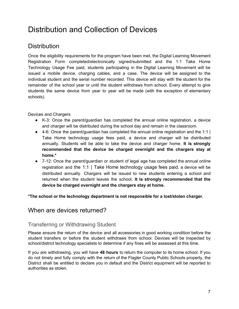# <span id="page-7-0"></span>Distribution and Collection of Devices

# <span id="page-7-1"></span>**Distribution**

Once the eligibility requirements for the program have been met, the Digital Learning Movement Registration Form completed/electronically signed/submitted and the 1:1 Take Home Technology Usage Fee paid, students participating in the Digital Learning Movement will be issued a mobile device, charging cables, and a case. The device will be assigned to the individual student and the serial number recorded. This device will stay with the student for the remainder of the school year or until the student withdraws from school. Every attempt to give students the same device from year to year will be made (with the exception of elementary schools).

Devices and Chargers

- K-3: Once the parent/guardian has completed the annual online registration, a device and charger will be distributed during the school day and remain in the classroom.
- $\bullet$  4-6: Once the parent/guardian has completed the annual online registration and the 1:1 | Take Home technology usage fees paid, a device and charger will be distributed annually. Students will be able to take the device and charger home. **It is strongly recommended that the device be charged overnight and the chargers stay at home.\***
- 7-12: Once the parent/guardian or student of legal age has completed the annual online registration and the 1:1 | Take Home technology usage fees paid, a device will be distributed annually. Chargers will be issued to new students entering a school and returned when the student leaves the school. **It is strongly recommended that the device be charged overnight and the chargers stay at home.**

<span id="page-7-2"></span>**\*The school or the technology department is not responsible for a lost/stolen charger.**

### When are devices returned?

#### <span id="page-7-3"></span>Transferring or Withdrawing Student

Please ensure the return of the device and all accessories in good working condition before the student transfers or before the student withdraws from school. Devices will be inspected by school/district technology specialists to determine if any fines will be assessed at this time.

If you are withdrawing, you will have **48 hours** to return the computer to its home school. If you do not timely and fully comply with the return of the Flagler County Public Schools property, the District shall be entitled to declare you in default and the District equipment will be reported to authorities as stolen.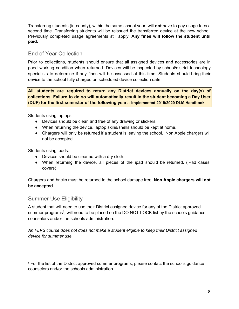Transferring students (in-county), within the same school year, will **not** have to pay usage fees a second time. Transferring students will be reissued the transferred device at the new school. Previously completed usage agreements still apply. **Any fines will follow the student until paid.**

#### <span id="page-8-0"></span>End of Year Collection

Prior to collections, students should ensure that all assigned devices and accessories are in good working condition when returned. Devices will be inspected by school/district technology specialists to determine if any fines will be assessed at this time. Students should bring their device to the school fully charged on scheduled device collection date.

**All students are required to return any District devices annually on the day(s) of collections. Failure to do so will automatically result in the student becoming a Day User (DUF) for the first semester of the following year. - implemented 2019/2020 DLM Handbook**

Students using laptops:

- Devices should be clean and free of any drawing or stickers.
- When returning the device, laptop skins/shells should be kept at home.
- Chargers will only be returned if a student is leaving the school. Non Apple chargers will not be accepted.

Students using ipads:

- Devices should be cleaned with a dry cloth.
- When returning the device, all pieces of the ipad should be returned. (iPad cases, covers)

Chargers and bricks must be returned to the school damage free. **Non Apple chargers will not be accepted.**

#### <span id="page-8-1"></span>Summer Use Eligibility

A student that will need to use their District assigned device for any of the District approved summer programs<sup>5</sup>, will need to be placed on the DO NOT LOCK list by the schools guidance counselors and/or the schools administration.

*An FLVS course does not does not make a student eligible to keep their District assigned device for summer use.*

<sup>5</sup> For the list of the District approved summer programs, please contact the school's guidance counselors and/or the schools administration.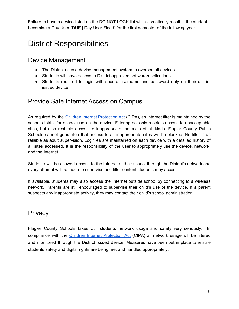Failure to have a device listed on the DO NOT LOCK list will automatically result in the student becoming a Day User (DUF | Day User Fined) for the first semester of the following year.

# <span id="page-9-0"></span>District Responsibilities

## <span id="page-9-1"></span>Device Management

- The District uses a device management system to oversee all devices
- Students will have access to District approved software/applications
- Students required to login with secure username and password only on their district issued device

## <span id="page-9-2"></span>Provide Safe Internet Access on Campus

As required by the Children Internet [Protection](https://www.fcc.gov/consumers/guides/childrens-internet-protection-act) Act (CIPA), an Internet filter is maintained by the school district for school use on the device. Filtering not only restricts access to unacceptable sites, but also restricts access to inappropriate materials of all kinds. Flagler County Public Schools cannot guarantee that access to all inappropriate sites will be blocked. No filter is as reliable as adult supervision. Log files are maintained on each device with a detailed history of all sites accessed. It is the responsibility of the user to appropriately use the device, network, and the Internet.

Students will be allowed access to the Internet at their school through the District's network and every attempt will be made to supervise and filter content students may access.

If available, students may also access the Internet outside school by connecting to a wireless network. Parents are still encouraged to supervise their child's use of the device. If a parent suspects any inappropriate activity, they may contact their child's school administration.

## <span id="page-9-3"></span>**Privacy**

Flagler County Schools takes our students network usage and safety very seriously. In compliance with the *Children Internet [Protection](https://www.fcc.gov/consumers/guides/childrens-internet-protection-act) Act* (CIPA) all network usage will be filtered and monitored through the District issued device. Measures have been put in place to ensure students safety and digital rights are being met and handled appropriately.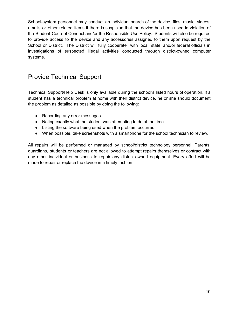School-system personnel may conduct an individual search of the device, files, music, videos, emails or other related items if there is suspicion that the device has been used in violation of the Student Code of Conduct and/or the Responsible Use Policy. Students will also be required to provide access to the device and any accessories assigned to them upon request by the School or District. The District will fully cooperate with local, state, and/or federal officials in investigations of suspected illegal activities conducted through district-owned computer systems.

## <span id="page-10-0"></span>Provide Technical Support

Technical Support/Help Desk is only available during the school's listed hours of operation. If a student has a technical problem at home with their district device, he or she should document the problem as detailed as possible by doing the following:

- Recording any error messages.
- Noting exactly what the student was attempting to do at the time.
- Listing the software being used when the problem occurred.
- When possible, take screenshots with a smartphone for the school technician to review.

All repairs will be performed or managed by school/district technology personnel. Parents, guardians, students or teachers are not allowed to attempt repairs themselves or contract with any other individual or business to repair any district-owned equipment. Every effort will be made to repair or replace the device in a timely fashion.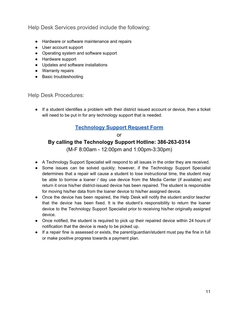<span id="page-11-0"></span>Help Desk Services provided include the following:

- Hardware or software maintenance and repairs
- User account support
- Operating system and software support
- Hardware support
- Updates and software installations
- Warranty repairs
- Basic troubleshooting

<span id="page-11-1"></span>Help Desk Procedures:

● If a student identifies a problem with their district issued account or device, then a ticket will need to be put in for any technology support that is needed.

#### **[Technology Support Request Form](http://fcsb.link/technologysupport)**

or **By calling the Technology Support Hotline: 386-263-0314**

(M-F 8:00am - 12:00pm and 1:00pm-3:30pm)

- A Technology Support Specialist will respond to all issues in the order they are received.
- Some issues can be solved quickly; however, if the Technology Support Specialist determines that a repair will cause a student to lose instructional time, the student may be able to borrow a loaner / day use device from the Media Center (if available) and return it once his/her district-issued device has been repaired. The student is responsible for moving his/her data from the loaner device to his/her assigned device.
- Once the device has been repaired, the Help Desk will notify the student and/or teacher that the device has been fixed. It is the student's responsibility to return the loaner device to the Technology Support Specialist prior to receiving his/her originally assigned device.
- Once notified, the student is required to pick up their repaired device within 24 hours of notification that the device is ready to be picked up.
- If a repair fine is assessed or exists, the parent/guardian/student must pay the fine in full or make positive progress towards a payment plan.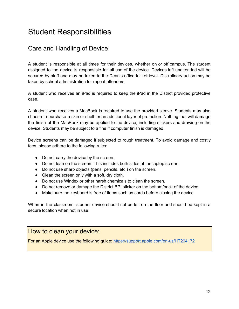# <span id="page-12-0"></span>Student Responsibilities

# <span id="page-12-1"></span>Care and Handling of Device

A student is responsible at all times for their devices, whether on or off campus. The student assigned to the device is responsible for all use of the device. Devices left unattended will be secured by staff and may be taken to the Dean's office for retrieval. Disciplinary action may be taken by school administration for repeat offenders.

A student who receives an iPad is required to keep the iPad in the District provided protective case.

A student who receives a MacBook is required to use the provided sleeve. Students may also choose to purchase a skin or shell for an additional layer of protection. Nothing that will damage the finish of the MacBook may be applied to the device, including stickers and drawing on the device. Students may be subject to a fine if computer finish is damaged.

Device screens can be damaged if subjected to rough treatment. To avoid damage and costly fees, please adhere to the following rules:

- Do not carry the device by the screen.
- Do not lean on the screen. This includes both sides of the laptop screen.
- Do not use sharp objects (pens, pencils, etc.) on the screen.
- Clean the screen only with a soft, dry cloth.
- Do not use Windex or other harsh chemicals to clean the screen.
- Do not remove or damage the District BPI sticker on the bottom/back of the device.
- Make sure the keyboard is free of items such as cords before closing the device.

When in the classroom, student device should not be left on the floor and should be kept in a secure location when not in use.

#### <span id="page-12-2"></span>How to clean your device:

For an Apple device use the following guide: <https://support.apple.com/en-us/HT204172>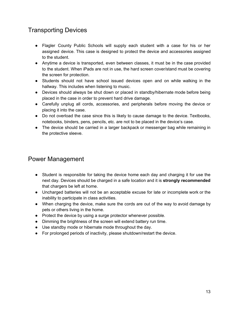# <span id="page-13-0"></span>Transporting Devices

- Flagler County Public Schools will supply each student with a case for his or her assigned device. This case is designed to protect the device and accessories assigned to the student.
- Anytime a device is transported, even between classes, it must be in the case provided to the student. When iPads are not in use, the hard screen cover/stand must be covering the screen for protection.
- Students should not have school issued devices open and on while walking in the hallway. This includes when listening to music.
- Devices should always be shut down or placed in standby/hibernate mode before being placed in the case in order to prevent hard drive damage.
- Carefully unplug all cords, accessories, and peripherals before moving the device or placing it into the case.
- Do not overload the case since this is likely to cause damage to the device. Textbooks, notebooks, binders, pens, pencils, etc. are not to be placed in the device's case.
- The device should be carried in a larger backpack or messenger bag while remaining in the protective sleeve.

## <span id="page-13-1"></span>Power Management

- Student is responsible for taking the device home each day and charging it for use the next day. Devices should be charged in a safe location and it is **strongly recommended** that chargers be left at home.
- Uncharged batteries will not be an acceptable excuse for late or incomplete work or the inability to participate in class activities.
- When charging the device, make sure the cords are out of the way to avoid damage by pets or others living in the home.
- Protect the device by using a surge protector whenever possible.
- Dimming the brightness of the screen will extend battery run time.
- Use standby mode or hibernate mode throughout the day.
- For prolonged periods of inactivity, please shutdown/restart the device.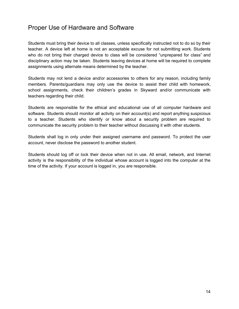# <span id="page-14-0"></span>Proper Use of Hardware and Software

Students must bring their device to all classes, unless specifically instructed not to do so by their teacher. A device left at home is not an acceptable excuse for not submitting work. Students who do not bring their charged device to class will be considered "unprepared for class" and disciplinary action may be taken. Students leaving devices at home will be required to complete assignments using alternate means determined by the teacher.

Students may not lend a device and/or accessories to others for any reason, including family members. Parents/guardians may only use the device to assist their child with homework, school assignments, check their children's grades in Skyward and/or communicate with teachers regarding their child.

Students are responsible for the ethical and educational use of all computer hardware and software. Students should monitor all activity on their account(s) and report anything suspicious to a teacher. Students who identify or know about a security problem are required to communicate the security problem to their teacher without discussing it with other students.

Students shall log in only under their assigned username and password. To protect the user account, never disclose the password to another student.

Students should log off or lock their device when not in use. All email, network, and Internet activity is the responsibility of the individual whose account is logged into the computer at the time of the activity. If your account is logged in, you are responsible.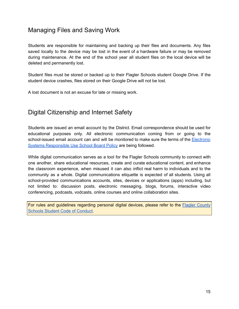# <span id="page-15-0"></span>Managing Files and Saving Work

Students are responsible for maintaining and backing up their files and documents. Any files saved locally to the device may be lost in the event of a hardware failure or may be removed during maintenance. At the end of the school year all student files on the local device will be deleted and permanently lost.

Student files must be stored or backed up to their Flagler Schools student Google Drive. If the student device crashes, files stored on their Google Drive will not be lost.

A lost document is not an excuse for late or missing work.

### <span id="page-15-1"></span>Digital Citizenship and Internet Safety

Students are issued an email account by the District. Email correspondence should be used for educational purposes only. All electronic communication coming from or going to the school-issued email account can and will be monitored to make sure the terms of the [Electronic](https://www.boarddocs.com/fla/flcsd/Board.nsf/goto?open=&id=9ABQDF68C5F5) Systems [Responsible](https://www.boarddocs.com/fla/flcsd/Board.nsf/goto?open=&id=9ABQDF68C5F5) Use School Board Policy are being followed.

While digital communication serves as a tool for the Flagler Schools community to connect with one another, share educational resources, create and curate educational content, and enhance the classroom experience, when misused it can also inflict real harm to individuals and to the community as a whole. Digital communications etiquette is expected of all students. Using all school-provided communications accounts, sites, devices or applications (apps) including, but not limited to: discussion posts, electronic messaging, blogs, forums, interactive video conferencing, podcasts, vodcasts, online courses and online collaboration sites.

For rules and guidelines regarding personal digital devices, please refer to the **Flagler [County](http://flaglerschools.ss19.sharpschool.com/cms/One.aspx?pageId=7577456&portalId=1363814&objectId.169531=11772796&contextId.169531=7577457&parentId.169531=7577458)** Schools Student Code of [Conduct.](http://flaglerschools.ss19.sharpschool.com/cms/One.aspx?pageId=7577456&portalId=1363814&objectId.169531=11772796&contextId.169531=7577457&parentId.169531=7577458)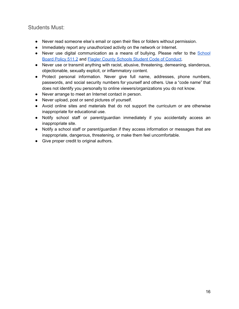#### <span id="page-16-0"></span>Students Must:

- Never read someone else's email or open their files or folders without permission.
- Immediately report any unauthorized activity on the network or Internet.
- Never use digital communication as a means of bullying. Please refer to the [School](http://www.boarddocs.com/fla/flcsd/Board.nsf/goto?open&id=9BGGT9455298) [Board](http://www.boarddocs.com/fla/flcsd/Board.nsf/goto?open&id=9BGGT9455298) Policy 511.2 and Flagler County Schools Student Code of [Conduct.](http://flaglerschools.ss19.sharpschool.com/cms/One.aspx?pageId=7577456&portalId=1363814&objectId.169531=11772796&contextId.169531=7577457&parentId.169531=7577458)
- Never use or transmit anything with racist, abusive, threatening, demeaning, slanderous, objectionable, sexually explicit, or inflammatory content.
- Protect personal information. Never give full name, addresses, phone numbers, passwords, and social security numbers for yourself and others. Use a "code name" that does not identify you personally to online viewers/organizations you do not know.
- Never arrange to meet an Internet contact in person.
- Never upload, post or send pictures of yourself.
- Avoid online sites and materials that do not support the curriculum or are otherwise inappropriate for educational use.
- Notify school staff or parent/guardian immediately if you accidentally access an inappropriate site.
- Notify a school staff or parent/guardian if they access information or messages that are inappropriate, dangerous, threatening, or make them feel uncomfortable.
- Give proper credit to original authors.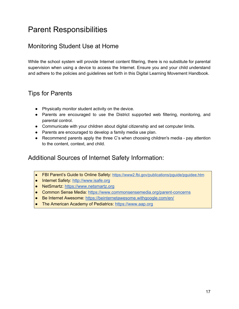# <span id="page-17-0"></span>Parent Responsibilities

# <span id="page-17-1"></span>Monitoring Student Use at Home

While the school system will provide Internet content filtering, there is no substitute for parental supervision when using a device to access the Internet. Ensure you and your child understand and adhere to the policies and guidelines set forth in this Digital Learning Movement Handbook.

### <span id="page-17-2"></span>Tips for Parents

- Physically monitor student activity on the device.
- Parents are encouraged to use the District supported web filtering, monitoring, and parental control.
- Communicate with your children about digital citizenship and set computer limits.
- Parents are encouraged to develop a family media use plan.
- Recommend parents apply the three C's when choosing children's media pay attention to the content, context, and child.

# <span id="page-17-3"></span>Additional Sources of Internet Safety Information:

- FBI Parent's Guide to Online Safety: https://www2.fbi.gov/publications/pquide/pquidee.htm
- Internet Safety: [http://www.isafe.org](http://www.isafe.org/)
- NetSmartz: [https://www.netsmartz.org](https://www.netsmartz.org/)
- Common Sense Media: <https://www.commonsensemedia.org/parent-concerns>
- Be Internet Awesome: <https://beinternetawesome.withgoogle.com/en/>
- The American Academy of Pediatrics: [https://www.aap.org](http://pediatrics.aappublications.org/content/138/5/e20162593)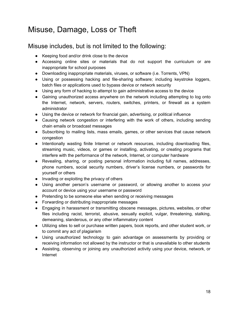# <span id="page-18-0"></span>Misuse, Damage, Loss or Theft

### <span id="page-18-1"></span>Misuse includes, but is not limited to the following:

- Keeping food and/or drink close to the device
- Accessing online sites or materials that do not support the curriculum or are inappropriate for school purposes
- Downloading inappropriate materials, viruses, or software (i.e. Torrents, VPN)
- Using or possessing hacking and file-sharing software; including keystroke loggers, batch files or applications used to bypass device or network security
- Using any form of hacking to attempt to gain administrative access to the device
- Gaining unauthorized access anywhere on the network including attempting to log onto the Internet, network, servers, routers, switches, printers, or firewall as a system administrator
- Using the device or network for financial gain, advertising, or political influence
- Causing network congestion or interfering with the work of others, including sending chain emails or broadcast messages
- Subscribing to mailing lists, mass emails, games, or other services that cause network congestion
- Intentionally wasting finite Internet or network resources, including downloading files, streaming music, videos, or games or installing, activating, or creating programs that interfere with the performance of the network, Internet, or computer hardware
- Revealing, sharing, or posting personal information including full names, addresses, phone numbers, social security numbers, driver's license numbers, or passwords for yourself or others
- Invading or exploiting the privacy of others
- Using another person's username or password, or allowing another to access your account or device using your username or password
- Pretending to be someone else when sending or receiving messages
- Forwarding or distributing inappropriate messages
- Engaging in harassment or transmitting obscene messages, pictures, websites, or other files including racist, terrorist, abusive, sexually explicit, vulgar, threatening, stalking, demeaning, slanderous, or any other inflammatory content
- Utilizing sites to sell or purchase written papers, book reports, and other student work, or to commit any act of plagiarism
- Using unauthorized technology to gain advantage on assessments by providing or receiving information not allowed by the instructor or that is unavailable to other students
- Assisting, observing or joining any unauthorized activity using your device, network, or Internet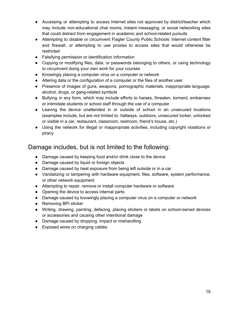- Accessing or attempting to access Internet sites not approved by district/teacher which may include non-educational chat rooms, instant messaging, or social networking sites that could distract from engagement in academic and school-related pursuits
- Attempting to disable or circumvent Flagler County Public Schools' Internet content filter and firewall, or attempting to use proxies to access sites that would otherwise be restricted
- Falsifying permission or identification information
- Copying or modifying files, data, or passwords belonging to others, or using technology to circumvent doing your own work for your courses
- Knowingly placing a computer virus on a computer or network
- Altering data or the configuration of a computer or the files of another user
- Presence of images of guns, weapons, pornographic materials, inappropriate language, alcohol, drugs, or gang-related symbols
- Bullying in any form, which may include efforts to harass, threaten, torment, embarrass or intimidate students or school staff through the use of a computer.
- Leaving the device unattended in or outside of school in an unsecured locations (examples include, but are not limited to: hallways, outdoors, unsecured locker, unlocked or visible in a car, restaurant, classroom, restroom, friend's house, etc.)
- Using the network for illegal or inappropriate activities, including copyright violations or piracy

# <span id="page-19-0"></span>Damage includes, but is not limited to the following:

- Damage caused by keeping food and/or drink close to the device
- Damage caused by liquid or foreign objects
- Damage caused by heat exposure from being left outside or in a car
- Vandalizing or tampering with hardware equipment, files, software, system performance, or other network equipment
- Attempting to repair, remove or install computer hardware or software
- Opening the device to access internal parts
- Damage caused by knowingly placing a computer virus on a computer or network
- Removing BPI sticker
- Writing, drawing, painting, defacing, placing stickers or labels on school-owned devices or accessories and causing other intentional damage
- Damage caused by dropping, impact or mishandling
- Exposed wires on charging cables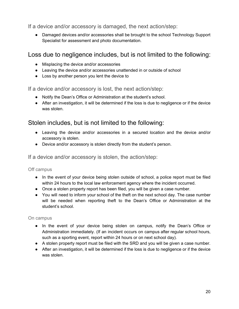<span id="page-20-0"></span>If a device and/or accessory is damaged, the next action/step:

• Damaged devices and/or accessories shall be brought to the school Technology Support Specialist for assessment and photo documentation.

# <span id="page-20-1"></span>Loss due to negligence includes, but is not limited to the following:

- Misplacing the device and/or accessories
- Leaving the device and/or accessories unattended in or outside of school
- Loss by another person you lent the device to

<span id="page-20-2"></span>If a device and/or accessory is lost, the next action/step:

- Notify the Dean's Office or Administration at the student's school.
- After an investigation, it will be determined if the loss is due to negligence or if the device was stolen.

# <span id="page-20-3"></span>Stolen includes, but is not limited to the following:

- Leaving the device and/or accessories in a secured location and the device and/or accessory is stolen.
- Device and/or accessory is stolen directly from the student's person.

<span id="page-20-4"></span>If a device and/or accessory is stolen, the action/step:

<span id="page-20-5"></span>Off campus

- In the event of your device being stolen outside of school, a police report must be filed within 24 hours to the local law enforcement agency where the incident occurred.
- Once a stolen property report has been filed, you will be given a case number.
- You will need to inform your school of the theft on the next school day. The case number will be needed when reporting theft to the Dean's Office or Administration at the student's school.

#### <span id="page-20-6"></span>On campus

- In the event of your device being stolen on campus, notify the Dean's Office or Administration immediately. (If an incident occurs on campus after regular school hours, such as a sporting event, report within 24 hours or on next school day).
- A stolen property report must be filed with the SRD and you will be given a case number.
- After an investigation, it will be determined if the loss is due to negligence or if the device was stolen.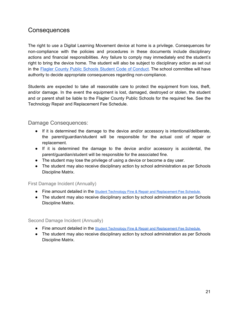### <span id="page-21-0"></span>**Consequences**

The right to use a Digital Learning Movement device at home is a privilege. Consequences for non-compliance with the policies and procedures in these documents include disciplinary actions and financial responsibilities. Any failure to comply may immediately end the student's right to bring the device home. The student will also be subject to disciplinary action as set out in the Flagler County Public Schools Student Code of [Conduct](http://flaglerschools.ss19.sharpschool.com/cms/One.aspx?pageId=7577456&portalId=1363814&objectId.169531=11772796&contextId.169531=7577457&parentId.169531=7577458). The school committee will have authority to decide appropriate consequences regarding non-compliance.

Students are expected to take all reasonable care to protect the equipment from loss, theft, and/or damage. In the event the equipment is lost, damaged, destroyed or stolen, the student and or parent shall be liable to the Flagler County Public Schools for the required fee. See the Technology Repair and Replacement Fee Schedule.

#### <span id="page-21-1"></span>Damage Consequences:

- If it is determined the damage to the device and/or accessory is intentional/deliberate, the parent/guardian/student will be responsible for the actual cost of repair or replacement.
- If it is determined the damage to the device and/or accessory is accidental, the parent/guardian/student will be responsible for the associated fine.
- The student may lose the privilege of using a device or become a day user.
- The student may also receive disciplinary action by school administration as per Schools Discipline Matrix.

#### <span id="page-21-2"></span>First Damage Incident (Annually)

- Fine amount detailed in the [Student Technology Fine & Repair and Replacement Fee Schedule.](https://docs.google.com/document/d/17OwE4mIE8OOUzNIEjn54RU-kocUaKs00a3P_Jop-Ji4/edit?usp=sharing)
- The student may also receive disciplinary action by school administration as per Schools Discipline Matrix.

#### <span id="page-21-3"></span>Second Damage Incident (Annually)

- Fine amount detailed in the [Student Technology Fine & Repair and Replacement Fee Schedule.](https://docs.google.com/document/d/17OwE4mIE8OOUzNIEjn54RU-kocUaKs00a3P_Jop-Ji4/edit?usp=sharing)
- The student may also receive disciplinary action by school administration as per Schools Discipline Matrix.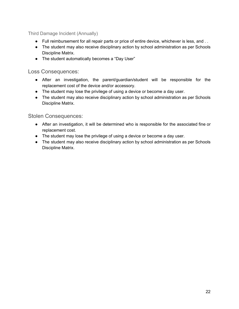<span id="page-22-0"></span>Third Damage Incident (Annually)

- Full reimbursement for all repair parts or price of entire device, whichever is less, and . .
- The student may also receive disciplinary action by school administration as per Schools Discipline Matrix.
- The student automatically becomes a "Day User"

<span id="page-22-1"></span>Loss Consequences:

- After an investigation, the parent/guardian/student will be responsible for the replacement cost of the device and/or accessory.
- The student may lose the privilege of using a device or become a day user.
- The student may also receive disciplinary action by school administration as per Schools Discipline Matrix.

<span id="page-22-2"></span>Stolen Consequences:

- After an investigation, it will be determined who is responsible for the associated fine or replacement cost.
- The student may lose the privilege of using a device or become a day user.
- The student may also receive disciplinary action by school administration as per Schools Discipline Matrix.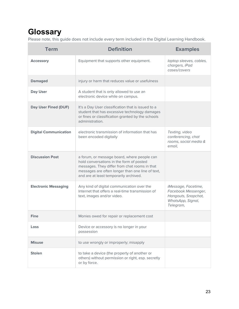# <span id="page-23-0"></span>**Glossary**

Please note, this guide does not include every term included in the Digital Learning Handbook.

| <b>Term</b>                  | <b>Definition</b>                                                                                                                                                                                                                      | <b>Examples</b>                                                                                     |
|------------------------------|----------------------------------------------------------------------------------------------------------------------------------------------------------------------------------------------------------------------------------------|-----------------------------------------------------------------------------------------------------|
| <b>Accessory</b>             | Equipment that supports other equipment.                                                                                                                                                                                               | laptop sleeves, cables,<br>chargers, iPad<br>cases/covers                                           |
| <b>Damaged</b>               | injury or harm that reduces value or usefulness                                                                                                                                                                                        |                                                                                                     |
| Day User                     | A student that is only allowed to use an<br>electronic device while on campus.                                                                                                                                                         |                                                                                                     |
| <b>Day User Fined (DUF)</b>  | It's a Day User classification that is issued to a<br>student that has excessive technology damages<br>or fines or classification granted by the schools<br>administration.                                                            |                                                                                                     |
| <b>Digital Communication</b> | electronic transmission of information that has<br>been encoded digitally                                                                                                                                                              | Texting, video<br>conferencing, chat<br>rooms, social media &<br>email.                             |
| <b>Discussion Post</b>       | a forum, or message board, where people can<br>hold conversations in the form of posted<br>messages. They differ from chat rooms in that<br>messages are often longer than one line of text,<br>and are at least temporarily archived. |                                                                                                     |
| <b>Electronic Messaging</b>  | Any kind of digital communication over the<br>Internet that offers a real-time transmission of<br>text, images and/or video.                                                                                                           | iMessage, Facetime,<br>Facebook Messenger,<br>Hangouts, Snapchat,<br>WhatsApp, Signal,<br>Telegram, |
| <b>Fine</b>                  | Monies owed for repair or replacement cost                                                                                                                                                                                             |                                                                                                     |
| Loss                         | Device or accessory is no longer in your<br>possession                                                                                                                                                                                 |                                                                                                     |
| <b>Misuse</b>                | to use wrongly or improperly; misapply                                                                                                                                                                                                 |                                                                                                     |
| <b>Stolen</b>                | to take a device (the property of another or<br>others) without permission or right, esp. secretly<br>or by force.                                                                                                                     |                                                                                                     |